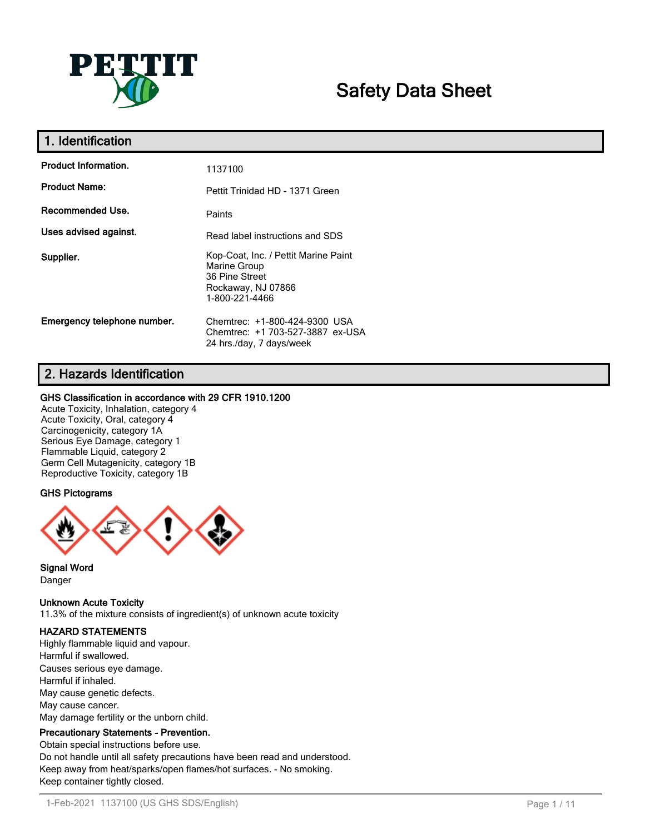

# **Safety Data Sheet**

| 1. Identification           |                                                                                                                |
|-----------------------------|----------------------------------------------------------------------------------------------------------------|
| <b>Product Information.</b> | 1137100                                                                                                        |
| <b>Product Name:</b>        | Pettit Trinidad HD - 1371 Green                                                                                |
| Recommended Use.            | Paints                                                                                                         |
| Uses advised against.       | Read label instructions and SDS                                                                                |
| Supplier.                   | Kop-Coat, Inc. / Pettit Marine Paint<br>Marine Group<br>36 Pine Street<br>Rockaway, NJ 07866<br>1-800-221-4466 |
| Emergency telephone number. | Chemtrec: +1-800-424-9300 USA<br>Chemtrec: +1 703-527-3887 ex-USA<br>24 hrs./day, 7 days/week                  |

# **2. Hazards Identification**

# **GHS Classification in accordance with 29 CFR 1910.1200**

Acute Toxicity, Inhalation, category 4 Acute Toxicity, Oral, category 4 Carcinogenicity, category 1A Serious Eye Damage, category 1 Flammable Liquid, category 2 Germ Cell Mutagenicity, category 1B Reproductive Toxicity, category 1B

# **GHS Pictograms**



**Signal Word** Danger

**Unknown Acute Toxicity** 11.3% of the mixture consists of ingredient(s) of unknown acute toxicity

# **HAZARD STATEMENTS**

Highly flammable liquid and vapour. Harmful if swallowed. Causes serious eye damage. Harmful if inhaled. May cause genetic defects. May cause cancer. May damage fertility or the unborn child.

# **Precautionary Statements - Prevention.**

Obtain special instructions before use. Do not handle until all safety precautions have been read and understood. Keep away from heat/sparks/open flames/hot surfaces. - No smoking. Keep container tightly closed.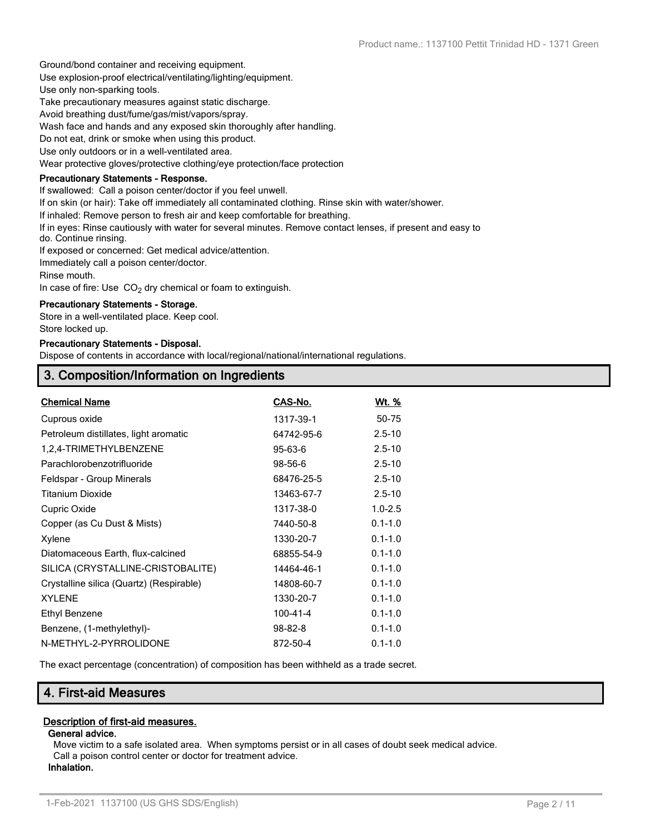Ground/bond container and receiving equipment.

Use explosion-proof electrical/ventilating/lighting/equipment.

Use only non-sparking tools.

Take precautionary measures against static discharge.

Avoid breathing dust/fume/gas/mist/vapors/spray.

Wash face and hands and any exposed skin thoroughly after handling.

Do not eat, drink or smoke when using this product.

Use only outdoors or in a well-ventilated area.

Wear protective gloves/protective clothing/eye protection/face protection

# **Precautionary Statements - Response.**

If swallowed: Call a poison center/doctor if you feel unwell.

If on skin (or hair): Take off immediately all contaminated clothing. Rinse skin with water/shower.

If inhaled: Remove person to fresh air and keep comfortable for breathing.

If in eyes: Rinse cautiously with water for several minutes. Remove contact lenses, if present and easy to do. Continue rinsing.

If exposed or concerned: Get medical advice/attention.

Immediately call a poison center/doctor.

Rinse mouth.

In case of fire: Use  $CO<sub>2</sub>$  dry chemical or foam to extinguish.

#### **Precautionary Statements - Storage.**

Store in a well-ventilated place. Keep cool. Store locked up.

#### **Precautionary Statements - Disposal.**

Dispose of contents in accordance with local/regional/national/international regulations.

# **3. Composition/Information on Ingredients**

| <b>Chemical Name</b>                     | CAS-No.        | Wt. %       |
|------------------------------------------|----------------|-------------|
| Cuprous oxide                            | 1317-39-1      | 50-75       |
| Petroleum distillates, light aromatic    | 64742-95-6     | $2.5 - 10$  |
| 1,2,4-TRIMETHYLBENZENE                   | 95-63-6        | $2.5 - 10$  |
| Parachlorobenzotrifluoride               | 98-56-6        | $2.5 - 10$  |
| Feldspar - Group Minerals                | 68476-25-5     | $2.5 - 10$  |
| <b>Titanium Dioxide</b>                  | 13463-67-7     | $2.5 - 10$  |
| Cupric Oxide                             | 1317-38-0      | $1.0 - 2.5$ |
| Copper (as Cu Dust & Mists)              | 7440-50-8      | $0.1 - 1.0$ |
| Xylene                                   | 1330-20-7      | $0.1 - 1.0$ |
| Diatomaceous Earth, flux-calcined        | 68855-54-9     | $0.1 - 1.0$ |
| SILICA (CRYSTALLINE-CRISTOBALITE)        | 14464-46-1     | $0.1 - 1.0$ |
| Crystalline silica (Quartz) (Respirable) | 14808-60-7     | $0.1 - 1.0$ |
| <b>XYLENE</b>                            | 1330-20-7      | $0.1 - 1.0$ |
| <b>Ethyl Benzene</b>                     | $100 - 41 - 4$ | $0.1 - 1.0$ |
| Benzene, (1-methylethyl)-                | $98 - 82 - 8$  | $0.1 - 1.0$ |
| N-METHYL-2-PYRROLIDONE                   | 872-50-4       | $0.1 - 1.0$ |

The exact percentage (concentration) of composition has been withheld as a trade secret.

# **4. First-aid Measures**

# **Description of first-aid measures.**

#### **General advice.**

Move victim to a safe isolated area. When symptoms persist or in all cases of doubt seek medical advice. Call a poison control center or doctor for treatment advice. **Inhalation.**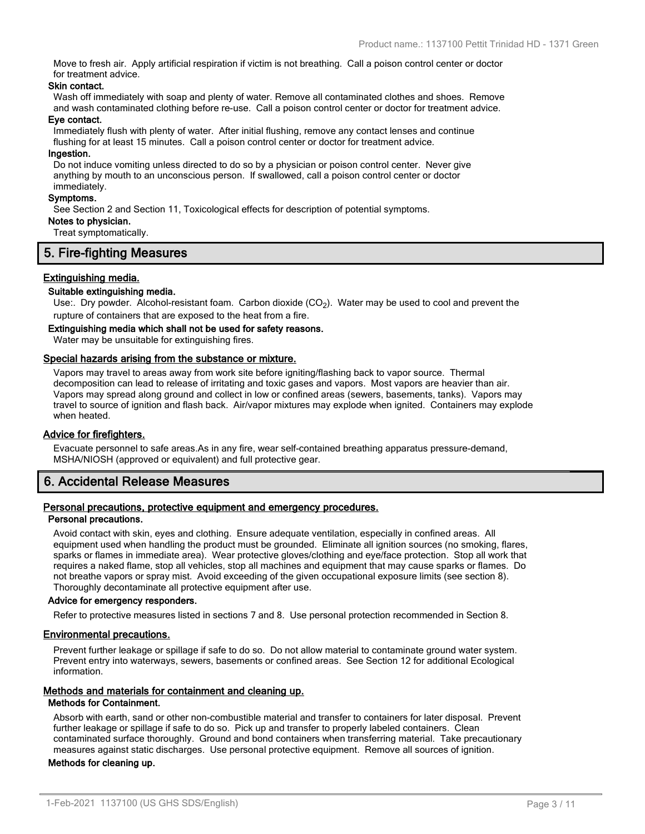Move to fresh air. Apply artificial respiration if victim is not breathing. Call a poison control center or doctor for treatment advice.

#### **Skin contact.**

Wash off immediately with soap and plenty of water. Remove all contaminated clothes and shoes. Remove and wash contaminated clothing before re-use. Call a poison control center or doctor for treatment advice.

#### **Eye contact.**

Immediately flush with plenty of water. After initial flushing, remove any contact lenses and continue flushing for at least 15 minutes. Call a poison control center or doctor for treatment advice.

#### **Ingestion.**

Do not induce vomiting unless directed to do so by a physician or poison control center. Never give anything by mouth to an unconscious person. If swallowed, call a poison control center or doctor immediately.

#### **Symptoms.**

See Section 2 and Section 11, Toxicological effects for description of potential symptoms.

# **Notes to physician.**

Treat symptomatically.

# **5. Fire-fighting Measures**

# **Extinguishing media.**

#### **Suitable extinguishing media.**

Use:. Dry powder. Alcohol-resistant foam. Carbon dioxide (CO<sub>2</sub>). Water may be used to cool and prevent the rupture of containers that are exposed to the heat from a fire.

#### **Extinguishing media which shall not be used for safety reasons.**

Water may be unsuitable for extinguishing fires.

#### **Special hazards arising from the substance or mixture.**

Vapors may travel to areas away from work site before igniting/flashing back to vapor source. Thermal decomposition can lead to release of irritating and toxic gases and vapors. Most vapors are heavier than air. Vapors may spread along ground and collect in low or confined areas (sewers, basements, tanks). Vapors may travel to source of ignition and flash back. Air/vapor mixtures may explode when ignited. Containers may explode when heated.

#### **Advice for firefighters.**

Evacuate personnel to safe areas.As in any fire, wear self-contained breathing apparatus pressure-demand, MSHA/NIOSH (approved or equivalent) and full protective gear.

# **6. Accidental Release Measures**

#### **Personal precautions, protective equipment and emergency procedures. Personal precautions.**

Avoid contact with skin, eyes and clothing. Ensure adequate ventilation, especially in confined areas. All equipment used when handling the product must be grounded. Eliminate all ignition sources (no smoking, flares, sparks or flames in immediate area). Wear protective gloves/clothing and eye/face protection. Stop all work that requires a naked flame, stop all vehicles, stop all machines and equipment that may cause sparks or flames. Do not breathe vapors or spray mist. Avoid exceeding of the given occupational exposure limits (see section 8). Thoroughly decontaminate all protective equipment after use.

#### **Advice for emergency responders.**

Refer to protective measures listed in sections 7 and 8. Use personal protection recommended in Section 8.

#### **Environmental precautions.**

Prevent further leakage or spillage if safe to do so. Do not allow material to contaminate ground water system. Prevent entry into waterways, sewers, basements or confined areas. See Section 12 for additional Ecological information.

#### **Methods and materials for containment and cleaning up.**

#### **Methods for Containment.**

Absorb with earth, sand or other non-combustible material and transfer to containers for later disposal. Prevent further leakage or spillage if safe to do so. Pick up and transfer to properly labeled containers. Clean contaminated surface thoroughly. Ground and bond containers when transferring material. Take precautionary measures against static discharges. Use personal protective equipment. Remove all sources of ignition.

#### **Methods for cleaning up.**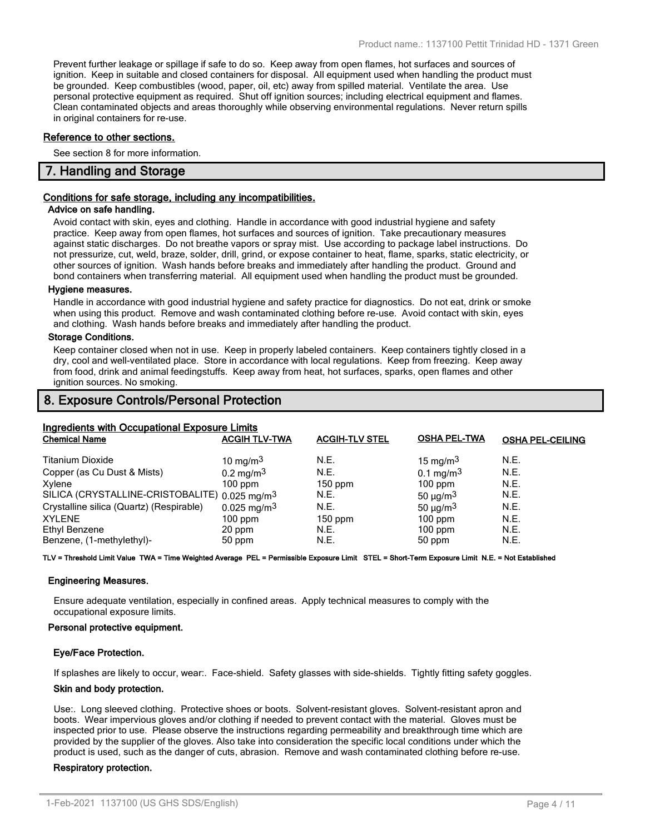Prevent further leakage or spillage if safe to do so. Keep away from open flames, hot surfaces and sources of ignition. Keep in suitable and closed containers for disposal. All equipment used when handling the product must be grounded. Keep combustibles (wood, paper, oil, etc) away from spilled material. Ventilate the area. Use personal protective equipment as required. Shut off ignition sources; including electrical equipment and flames. Clean contaminated objects and areas thoroughly while observing environmental regulations. Never return spills in original containers for re-use.

#### **Reference to other sections.**

See section 8 for more information.

# **7. Handling and Storage**

#### **Conditions for safe storage, including any incompatibilities.**

#### **Advice on safe handling.**

Avoid contact with skin, eyes and clothing. Handle in accordance with good industrial hygiene and safety practice. Keep away from open flames, hot surfaces and sources of ignition. Take precautionary measures against static discharges. Do not breathe vapors or spray mist. Use according to package label instructions. Do not pressurize, cut, weld, braze, solder, drill, grind, or expose container to heat, flame, sparks, static electricity, or other sources of ignition. Wash hands before breaks and immediately after handling the product. Ground and bond containers when transferring material. All equipment used when handling the product must be grounded.

#### **Hygiene measures.**

Handle in accordance with good industrial hygiene and safety practice for diagnostics. Do not eat, drink or smoke when using this product. Remove and wash contaminated clothing before re-use. Avoid contact with skin, eyes and clothing. Wash hands before breaks and immediately after handling the product.

#### **Storage Conditions.**

Keep container closed when not in use. Keep in properly labeled containers. Keep containers tightly closed in a dry, cool and well-ventilated place. Store in accordance with local regulations. Keep from freezing. Keep away from food, drink and animal feedingstuffs. Keep away from heat, hot surfaces, sparks, open flames and other ignition sources. No smoking.

# **8. Exposure Controls/Personal Protection**

# **Ingredients with Occupational Exposure Limits**

| <b>Ingrediction with ecodography Exposure Emmo</b><br><b>Chemical Name</b> | <b>ACGIH TLV-TWA</b>    | <b>ACGIH-TLV STEL</b> | <b>OSHA PEL-TWA</b>       | <b>OSHA PEL-CEILING</b> |
|----------------------------------------------------------------------------|-------------------------|-----------------------|---------------------------|-------------------------|
| <b>Titanium Dioxide</b>                                                    | 10 mg/m <sup>3</sup>    | N.E.                  | 15 mg/m <sup>3</sup>      | N.E.                    |
| Copper (as Cu Dust & Mists)                                                | $0.2 \,\mathrm{mg/m^3}$ | N.E.                  | $0.1 \,\mathrm{mg/m^3}$   | <b>N.E.</b>             |
| Xylene                                                                     | $100$ ppm               | $150$ ppm             | $100$ ppm                 | N.E.                    |
| SILICA (CRYSTALLINE-CRISTOBALITE) 0.025 mg/m <sup>3</sup>                  |                         | N.E.                  | 50 $\mu$ g/m <sup>3</sup> | N.E.                    |
| Crystalline silica (Quartz) (Respirable)                                   | $0.025 \text{ mg/m}^3$  | N.E.                  | $50 \mu g/m3$             | N.E.                    |
| <b>XYLENE</b>                                                              | $100$ ppm               | $150$ ppm             | $100$ ppm                 | N.E.                    |
| Ethyl Benzene                                                              | 20 ppm                  | N.E.                  | $100$ ppm                 | N.E.                    |
| Benzene, (1-methylethyl)-                                                  | 50 ppm                  | N.E.                  | 50 ppm                    | N.E.                    |

**TLV = Threshold Limit Value TWA = Time Weighted Average PEL = Permissible Exposure Limit STEL = Short-Term Exposure Limit N.E. = Not Established**

#### **Engineering Measures.**

Ensure adequate ventilation, especially in confined areas. Apply technical measures to comply with the occupational exposure limits.

#### **Personal protective equipment.**

#### **Eye/Face Protection.**

If splashes are likely to occur, wear:. Face-shield. Safety glasses with side-shields. Tightly fitting safety goggles.

#### **Skin and body protection.**

Use:. Long sleeved clothing. Protective shoes or boots. Solvent-resistant gloves. Solvent-resistant apron and boots. Wear impervious gloves and/or clothing if needed to prevent contact with the material. Gloves must be inspected prior to use. Please observe the instructions regarding permeability and breakthrough time which are provided by the supplier of the gloves. Also take into consideration the specific local conditions under which the product is used, such as the danger of cuts, abrasion. Remove and wash contaminated clothing before re-use.

#### **Respiratory protection.**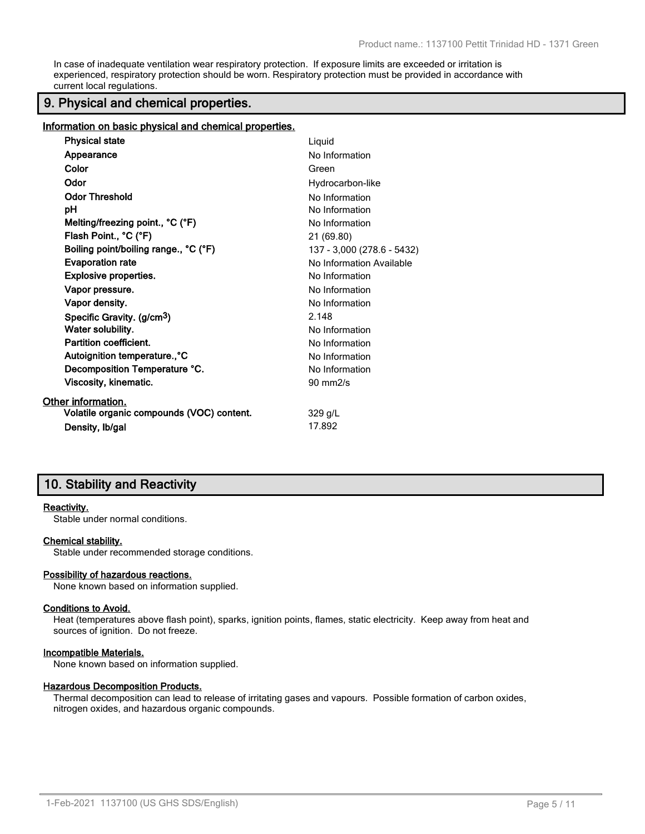In case of inadequate ventilation wear respiratory protection. If exposure limits are exceeded or irritation is experienced, respiratory protection should be worn. Respiratory protection must be provided in accordance with current local regulations.

# **9. Physical and chemical properties.**

**Information on basic physical and chemical properties.**

| <b>Physical state</b>                     | Liquid                     |
|-------------------------------------------|----------------------------|
| Appearance                                | No Information             |
| Color                                     | Green                      |
| Odor                                      | Hydrocarbon-like           |
| <b>Odor Threshold</b>                     | No Information             |
| рH                                        | No Information             |
| Melting/freezing point., °C (°F)          | No Information             |
| Flash Point., °C (°F)                     | 21 (69.80)                 |
| Boiling point/boiling range., °C (°F)     | 137 - 3,000 (278.6 - 5432) |
| <b>Evaporation rate</b>                   | No Information Available   |
| <b>Explosive properties.</b>              | No Information             |
| Vapor pressure.                           | No Information             |
| Vapor density.                            | No Information             |
| Specific Gravity. (g/cm <sup>3</sup> )    | 2.148                      |
| Water solubility.                         | No Information             |
| Partition coefficient.                    | No Information             |
| Autoignition temperature., °C             | No Information             |
| Decomposition Temperature °C.             | No Information             |
| Viscosity, kinematic.                     | $90 \text{ mm}$ 2/s        |
| Other information.                        |                            |
| Volatile organic compounds (VOC) content. | $329$ g/L                  |
| Density, Ib/gal                           | 17.892                     |

# **10. Stability and Reactivity**

#### **Reactivity.**

Stable under normal conditions.

#### **Chemical stability.**

Stable under recommended storage conditions.

#### **Possibility of hazardous reactions.**

None known based on information supplied.

#### **Conditions to Avoid.**

Heat (temperatures above flash point), sparks, ignition points, flames, static electricity. Keep away from heat and sources of ignition. Do not freeze.

#### **Incompatible Materials.**

None known based on information supplied.

#### **Hazardous Decomposition Products.**

Thermal decomposition can lead to release of irritating gases and vapours. Possible formation of carbon oxides, nitrogen oxides, and hazardous organic compounds.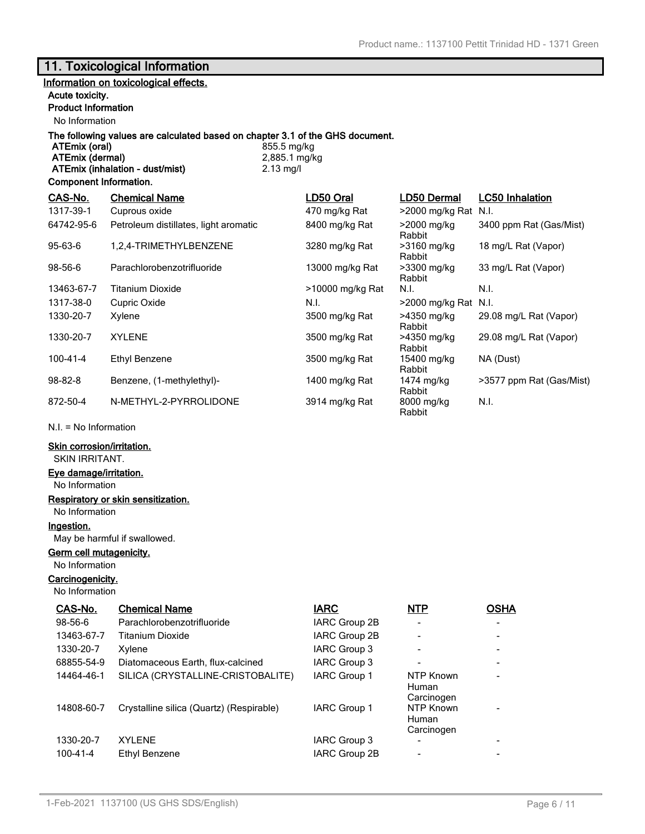# **11. Toxicological Information**

# **Information on toxicological effects.**

# **Acute toxicity.**

# **Product Information**

No Information

# **The following values are calculated based on chapter 3.1 of the GHS document.**

**ATEmix (oral)** 855.5 mg/kg<br> **ATEmix (dermal)** 2,885.1 mg/kg **ATEmix (dermal)** 2,885.1 m<br> **ATEmix (inhalation - dust/mist)** 2.13 mg/l **ATEmix (inhalation - dust/mist)** 

#### **Component Information.**

| CAS-No.        | <b>Chemical Name</b>                  | LD50 Oral        | LD50 Dermal           | <b>LC50 Inhalation</b>   |
|----------------|---------------------------------------|------------------|-----------------------|--------------------------|
| 1317-39-1      | Cuprous oxide                         | 470 mg/kg Rat    | >2000 mg/kg Rat N.I.  |                          |
| 64742-95-6     | Petroleum distillates, light aromatic | 8400 mg/kg Rat   | >2000 mg/kg<br>Rabbit | 3400 ppm Rat (Gas/Mist)  |
| $95 - 63 - 6$  | 1.2.4-TRIMETHYLBENZENE                | 3280 mg/kg Rat   | >3160 mg/kg<br>Rabbit | 18 mg/L Rat (Vapor)      |
| 98-56-6        | Parachlorobenzotrifluoride            | 13000 mg/kg Rat  | >3300 mg/kg<br>Rabbit | 33 mg/L Rat (Vapor)      |
| 13463-67-7     | Titanium Dioxide                      | >10000 mg/kg Rat | N.I.                  | N.I.                     |
| 1317-38-0      | Cupric Oxide                          | N.I.             | >2000 mg/kg Rat N.I.  |                          |
| 1330-20-7      | Xylene                                | 3500 mg/kg Rat   | >4350 mg/kg<br>Rabbit | 29.08 mg/L Rat (Vapor)   |
| 1330-20-7      | <b>XYLENE</b>                         | 3500 mg/kg Rat   | >4350 mg/kg<br>Rabbit | 29.08 mg/L Rat (Vapor)   |
| $100 - 41 - 4$ | Ethyl Benzene                         | 3500 mg/kg Rat   | 15400 mg/kg<br>Rabbit | NA (Dust)                |
| $98 - 82 - 8$  | Benzene, (1-methylethyl)-             | 1400 mg/kg Rat   | 1474 mg/kg<br>Rabbit  | >3577 ppm Rat (Gas/Mist) |
| 872-50-4       | N-METHYL-2-PYRROLIDONE                | 3914 mg/kg Rat   | 8000 mg/kg<br>Rabbit  | N.I.                     |

N.I. = No Information

# **Skin corrosion/irritation.**

SKIN IRRITANT.

#### **Eye damage/irritation.**

No Information

#### **Respiratory or skin sensitization.** No Information

**Ingestion.**

#### May be harmful if swallowed.

**Germ cell mutagenicity.**

#### No Information

**Carcinogenicity.**

#### No Information

| CAS-No.        | <b>Chemical Name</b>                     | <b>IARC</b>         | <b>NTP</b>                       | <b>OSHA</b> |
|----------------|------------------------------------------|---------------------|----------------------------------|-------------|
| $98 - 56 - 6$  | Parachlorobenzotrifluoride               | IARC Group 2B       |                                  |             |
| 13463-67-7     | Titanium Dioxide                         | IARC Group 2B       |                                  |             |
| 1330-20-7      | Xylene                                   | IARC Group 3        |                                  |             |
| 68855-54-9     | Diatomaceous Earth, flux-calcined        | <b>IARC Group 3</b> |                                  |             |
| 14464-46-1     | SILICA (CRYSTALLINE-CRISTOBALITE)        | <b>IARC Group 1</b> | NTP Known<br>Human<br>Carcinogen |             |
| 14808-60-7     | Crystalline silica (Quartz) (Respirable) | <b>IARC Group 1</b> | NTP Known<br>Human<br>Carcinogen |             |
| 1330-20-7      | <b>XYLENE</b>                            | IARC Group 3        |                                  |             |
| $100 - 41 - 4$ | Ethyl Benzene                            | IARC Group 2B       |                                  |             |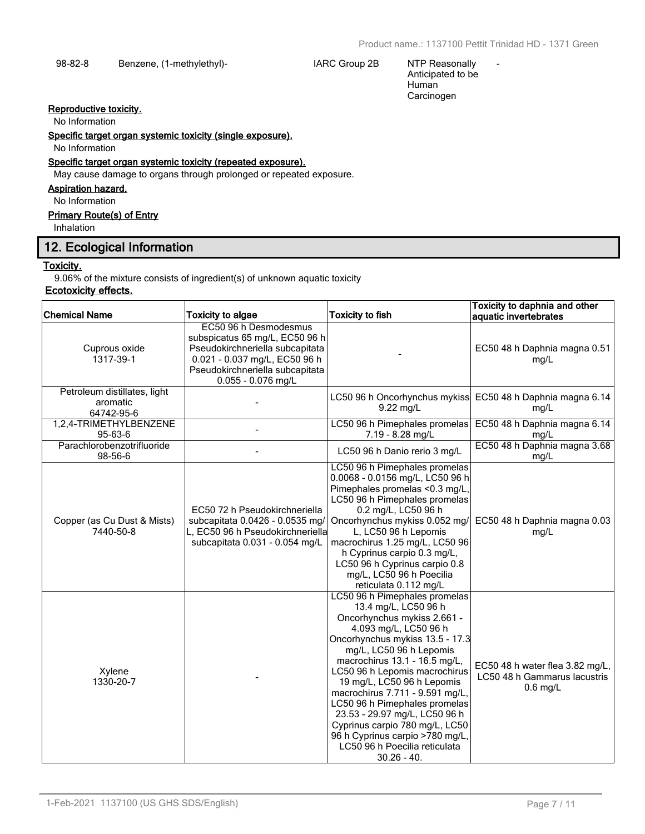-

98-82-8 Benzene, (1-methylethyl)- IARC Group 2B NTP Reasonally

Anticipated to be Human Carcinogen

# **Reproductive toxicity.**

No Information

**Specific target organ systemic toxicity (single exposure).**

No Information

# **Specific target organ systemic toxicity (repeated exposure).**

May cause damage to organs through prolonged or repeated exposure.

# **Aspiration hazard.**

No Information

# **Primary Route(s) of Entry**

Inhalation

# **12. Ecological Information**

#### **Toxicity.**

9.06% of the mixture consists of ingredient(s) of unknown aquatic toxicity

# **Ecotoxicity effects.**

| <b>Chemical Name</b>                                   | <b>Toxicity to algae</b>                                                                                                                                                               | <b>Toxicity to fish</b>                                                                                                                                                                                                                                                                                                                                                                                                                                                                                 | Toxicity to daphnia and other<br>aquatic invertebrates                        |
|--------------------------------------------------------|----------------------------------------------------------------------------------------------------------------------------------------------------------------------------------------|---------------------------------------------------------------------------------------------------------------------------------------------------------------------------------------------------------------------------------------------------------------------------------------------------------------------------------------------------------------------------------------------------------------------------------------------------------------------------------------------------------|-------------------------------------------------------------------------------|
| Cuprous oxide<br>1317-39-1                             | EC50 96 h Desmodesmus<br>subspicatus 65 mg/L, EC50 96 h<br>Pseudokirchneriella subcapitata<br>0.021 - 0.037 mg/L, EC50 96 h<br>Pseudokirchneriella subcapitata<br>$0.055 - 0.076$ mg/L |                                                                                                                                                                                                                                                                                                                                                                                                                                                                                                         | EC50 48 h Daphnia magna 0.51<br>mg/L                                          |
| Petroleum distillates, light<br>aromatic<br>64742-95-6 |                                                                                                                                                                                        | 9.22 mg/L                                                                                                                                                                                                                                                                                                                                                                                                                                                                                               | LC50 96 h Oncorhynchus mykiss EC50 48 h Daphnia magna 6.14<br>mg/L            |
| 1,2,4-TRIMETHYLBENZENE<br>95-63-6                      |                                                                                                                                                                                        | LC50 96 h Pimephales promelas<br>7.19 - 8.28 mg/L                                                                                                                                                                                                                                                                                                                                                                                                                                                       | EC50 48 h Daphnia magna 6.14<br>mg/L                                          |
| Parachlorobenzotrifluoride<br>98-56-6                  |                                                                                                                                                                                        | LC50 96 h Danio rerio 3 mg/L                                                                                                                                                                                                                                                                                                                                                                                                                                                                            | EC50 48 h Daphnia magna 3.68<br>mg/L                                          |
| Copper (as Cu Dust & Mists)<br>7440-50-8               | EC50 72 h Pseudokirchneriella<br>subcapitata 0.0426 - 0.0535 mg/<br>L, EC50 96 h Pseudokirchneriella<br>subcapitata 0.031 - 0.054 mg/L                                                 | LC50 96 h Pimephales promelas<br>0.0068 - 0.0156 mg/L, LC50 96 h<br>Pimephales promelas <0.3 mg/L,<br>LC50 96 h Pimephales promelas<br>0.2 mg/L, LC50 96 h<br>Oncorhynchus mykiss 0.052 mg/<br>L, LC50 96 h Lepomis<br>macrochirus 1.25 mg/L, LC50 96<br>h Cyprinus carpio 0.3 mg/L,<br>LC50 96 h Cyprinus carpio 0.8<br>mg/L, LC50 96 h Poecilia<br>reticulata 0.112 mg/L                                                                                                                              | EC50 48 h Daphnia magna 0.03<br>mg/L                                          |
| Xylene<br>1330-20-7                                    |                                                                                                                                                                                        | LC50 96 h Pimephales promelas<br>13.4 mg/L, LC50 96 h<br>Oncorhynchus mykiss 2.661 -<br>4.093 mg/L, LC50 96 h<br>Oncorhynchus mykiss 13.5 - 17.3<br>mg/L, LC50 96 h Lepomis<br>macrochirus 13.1 - 16.5 mg/L,<br>LC50 96 h Lepomis macrochirus<br>19 mg/L, LC50 96 h Lepomis<br>macrochirus 7.711 - 9.591 mg/L,<br>LC50 96 h Pimephales promelas<br>23.53 - 29.97 mg/L, LC50 96 h<br>Cyprinus carpio 780 mg/L, LC50<br>96 h Cyprinus carpio >780 mg/L,<br>LC50 96 h Poecilia reticulata<br>$30.26 - 40.$ | EC50 48 h water flea 3.82 mg/L,<br>LC50 48 h Gammarus lacustris<br>$0.6$ mg/L |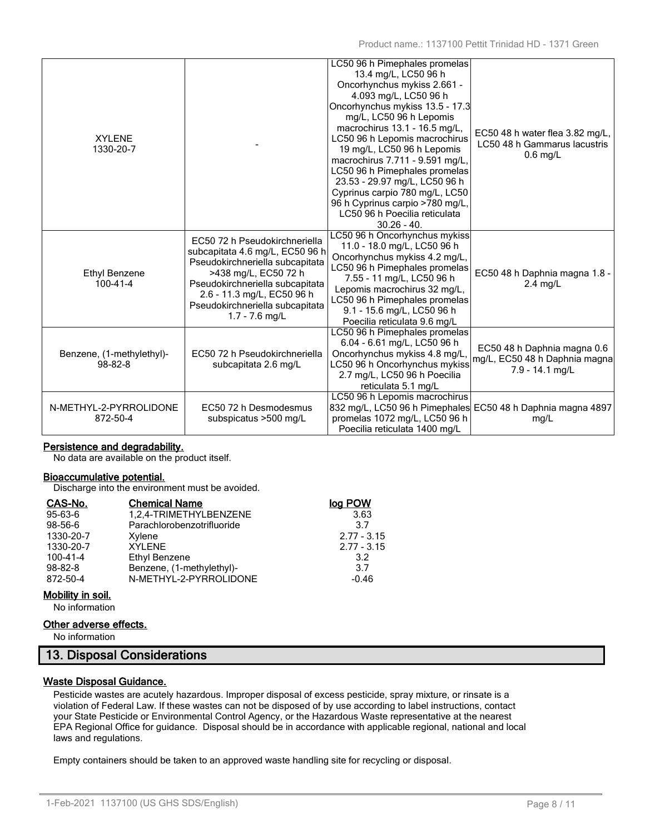| <b>XYLENE</b><br>1330-20-7                 |                                                                                                                                                                                                                                                     | LC50 96 h Pimephales promelas<br>13.4 mg/L, LC50 96 h<br>Oncorhynchus mykiss 2.661 -<br>4.093 mg/L, LC50 96 h<br>Oncorhynchus mykiss 13.5 - 17.3<br>mg/L, LC50 96 h Lepomis<br>macrochirus 13.1 - 16.5 mg/L,<br>LC50 96 h Lepomis macrochirus<br>19 mg/L, LC50 96 h Lepomis<br>macrochirus 7.711 - 9.591 mg/L,<br>LC50 96 h Pimephales promelas<br>23.53 - 29.97 mg/L, LC50 96 h<br>Cyprinus carpio 780 mg/L, LC50<br>96 h Cyprinus carpio >780 mg/L,<br>LC50 96 h Poecilia reticulata<br>$30.26 - 40.$ | EC50 48 h water flea 3.82 mg/L,<br>LC50 48 h Gammarus lacustris<br>$0.6$ mg/L   |
|--------------------------------------------|-----------------------------------------------------------------------------------------------------------------------------------------------------------------------------------------------------------------------------------------------------|---------------------------------------------------------------------------------------------------------------------------------------------------------------------------------------------------------------------------------------------------------------------------------------------------------------------------------------------------------------------------------------------------------------------------------------------------------------------------------------------------------|---------------------------------------------------------------------------------|
| Ethyl Benzene<br>$100 - 41 - 4$            | EC50 72 h Pseudokirchneriella<br>subcapitata 4.6 mg/L, EC50 96 h<br>Pseudokirchneriella subcapitata<br>>438 mg/L, EC50 72 h<br>Pseudokirchneriella subcapitata<br>2.6 - 11.3 mg/L, EC50 96 h<br>Pseudokirchneriella subcapitata<br>$1.7 - 7.6$ mg/L | LC50 96 h Oncorhynchus mykiss<br>11.0 - 18.0 mg/L, LC50 96 h<br>Oncorhynchus mykiss 4.2 mg/L,<br>LC50 96 h Pimephales promelas<br>7.55 - 11 mg/L, LC50 96 h<br>Lepomis macrochirus 32 mg/L,<br>LC50 96 h Pimephales promelas<br>9.1 - 15.6 mg/L, LC50 96 h<br>Poecilia reticulata 9.6 mg/L                                                                                                                                                                                                              | EC50 48 h Daphnia magna 1.8 -<br>$2.4$ mg/L                                     |
| Benzene, (1-methylethyl)-<br>$98 - 82 - 8$ | EC50 72 h Pseudokirchneriella<br>subcapitata 2.6 mg/L                                                                                                                                                                                               | LC50 96 h Pimephales promelas<br>6.04 - 6.61 mg/L, LC50 96 h<br>Oncorhynchus mykiss 4.8 mg/L.<br>LC50 96 h Oncorhynchus mykiss<br>2.7 mg/L, LC50 96 h Poecilia<br>reticulata 5.1 mg/L                                                                                                                                                                                                                                                                                                                   | EC50 48 h Daphnia magna 0.6<br>mg/L, EC50 48 h Daphnia magna<br>7.9 - 14.1 mg/L |
| N-METHYL-2-PYRROLIDONE<br>872-50-4         | EC50 72 h Desmodesmus<br>subspicatus >500 mg/L                                                                                                                                                                                                      | LC50 96 h Lepomis macrochirus<br>832 mg/L, LC50 96 h Pimephales EC50 48 h Daphnia magna 4897<br>promelas 1072 mg/L, LC50 96 h<br>Poecilia reticulata 1400 mg/L                                                                                                                                                                                                                                                                                                                                          | mg/L                                                                            |

# **Persistence and degradability.**

No data are available on the product itself.

#### **Bioaccumulative potential.**

Discharge into the environment must be avoided.

| CAS-No.        | <b>Chemical Name</b>       | log POW       |
|----------------|----------------------------|---------------|
| $95-63-6$      | 1,2,4-TRIMETHYLBENZENE     | 3.63          |
| 98-56-6        | Parachlorobenzotrifluoride | 3.7           |
| 1330-20-7      | Xylene                     | $2.77 - 3.15$ |
| 1330-20-7      | <b>XYLENE</b>              | $2.77 - 3.15$ |
| $100 - 41 - 4$ | Ethyl Benzene              | 3.2           |
| $98 - 82 - 8$  | Benzene, (1-methylethyl)-  | 3.7           |
| 872-50-4       | N-METHYL-2-PYRROLIDONE     | $-0.46$       |

# **Mobility in soil.**

No information

### **Other adverse effects.**

No information

# **13. Disposal Considerations**

# **Waste Disposal Guidance.**

Pesticide wastes are acutely hazardous. Improper disposal of excess pesticide, spray mixture, or rinsate is a violation of Federal Law. If these wastes can not be disposed of by use according to label instructions, contact your State Pesticide or Environmental Control Agency, or the Hazardous Waste representative at the nearest EPA Regional Office for guidance. Disposal should be in accordance with applicable regional, national and local laws and regulations.

Empty containers should be taken to an approved waste handling site for recycling or disposal.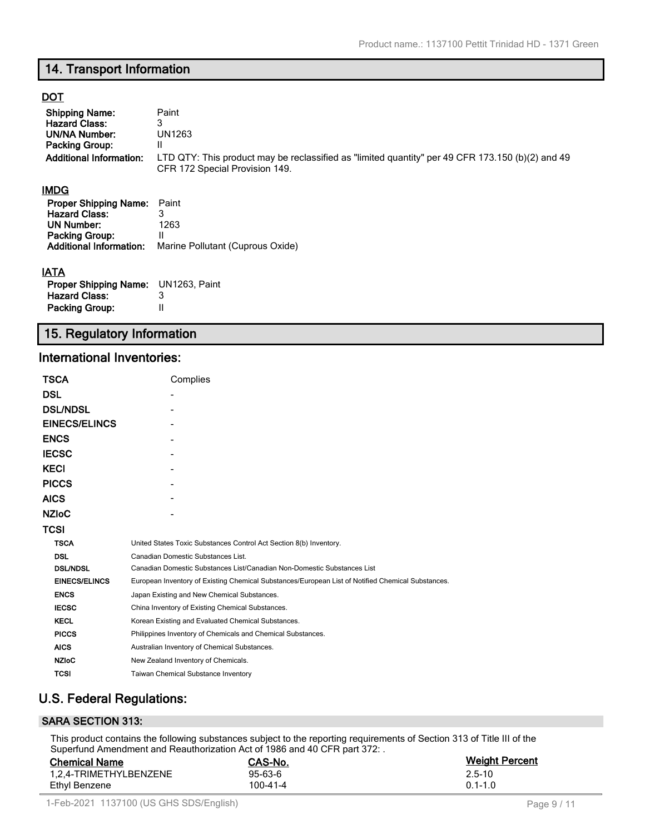# **14. Transport Information**

# **DOT**

| <b>Shipping Name:</b><br><b>Hazard Class:</b><br><b>UN/NA Number:</b><br><b>Packing Group:</b><br><b>Additional Information:</b>     | Paint<br>3<br>UN1263<br>Ш<br>LTD QTY: This product may be reclassified as "limited quantity" per 49 CFR 173.150 (b)(2) and 49<br>CFR 172 Special Provision 149. |
|--------------------------------------------------------------------------------------------------------------------------------------|-----------------------------------------------------------------------------------------------------------------------------------------------------------------|
| <b>IMDG</b>                                                                                                                          |                                                                                                                                                                 |
| <b>Proper Shipping Name:</b><br><b>Hazard Class:</b><br><b>UN Number:</b><br><b>Packing Group:</b><br><b>Additional Information:</b> | Paint<br>3<br>1263<br>Ш<br>Marine Pollutant (Cuprous Oxide)                                                                                                     |
| <b>IATA</b>                                                                                                                          |                                                                                                                                                                 |
| <b>Proper Shipping Name:</b><br><b>Hazard Class:</b>                                                                                 | UN1263, Paint<br>3                                                                                                                                              |
| <b>Packing Group:</b>                                                                                                                | $\mathsf{II}$                                                                                                                                                   |

# **15. Regulatory Information**

# **International Inventories:**

| TSCA                 | Complies                                                                                          |
|----------------------|---------------------------------------------------------------------------------------------------|
| DSL                  |                                                                                                   |
| <b>DSL/NDSL</b>      |                                                                                                   |
| <b>EINECS/ELINCS</b> |                                                                                                   |
| <b>ENCS</b>          |                                                                                                   |
| <b>IECSC</b>         |                                                                                                   |
| KECI                 |                                                                                                   |
| <b>PICCS</b>         |                                                                                                   |
| AICS                 |                                                                                                   |
| <b>NZIoC</b>         |                                                                                                   |
| TCSI                 |                                                                                                   |
| <b>TSCA</b>          | United States Toxic Substances Control Act Section 8(b) Inventory.                                |
| <b>DSL</b>           | Canadian Domestic Substances List.                                                                |
| <b>DSL/NDSL</b>      | Canadian Domestic Substances List/Canadian Non-Domestic Substances List                           |
| <b>EINECS/ELINCS</b> | European Inventory of Existing Chemical Substances/European List of Notified Chemical Substances. |
| <b>ENCS</b>          | Japan Existing and New Chemical Substances.                                                       |
| <b>IECSC</b>         | China Inventory of Existing Chemical Substances.                                                  |
| <b>KECL</b>          | Korean Existing and Evaluated Chemical Substances.                                                |
| <b>PICCS</b>         | Philippines Inventory of Chemicals and Chemical Substances.                                       |
| <b>AICS</b>          | Australian Inventory of Chemical Substances.                                                      |
| <b>NZIoC</b>         | New Zealand Inventory of Chemicals.                                                               |
| <b>TCSI</b>          | <b>Taiwan Chemical Substance Inventory</b>                                                        |

# **U.S. Federal Regulations:**

# **SARA SECTION 313:**

This product contains the following substances subject to the reporting requirements of Section 313 of Title III of the Superfund Amendment and Reauthorization Act of 1986 and 40 CFR part 372:

| <b>Chemical Name</b>   | CAS-No.  | <b>Weight Percent</b> |
|------------------------|----------|-----------------------|
| 1.2.4-TRIMETHYLBENZENE | 95-63-6  | $2.5 - 10$            |
| Ethyl Benzene          | 100-41-4 | $0.1 - 1.0$           |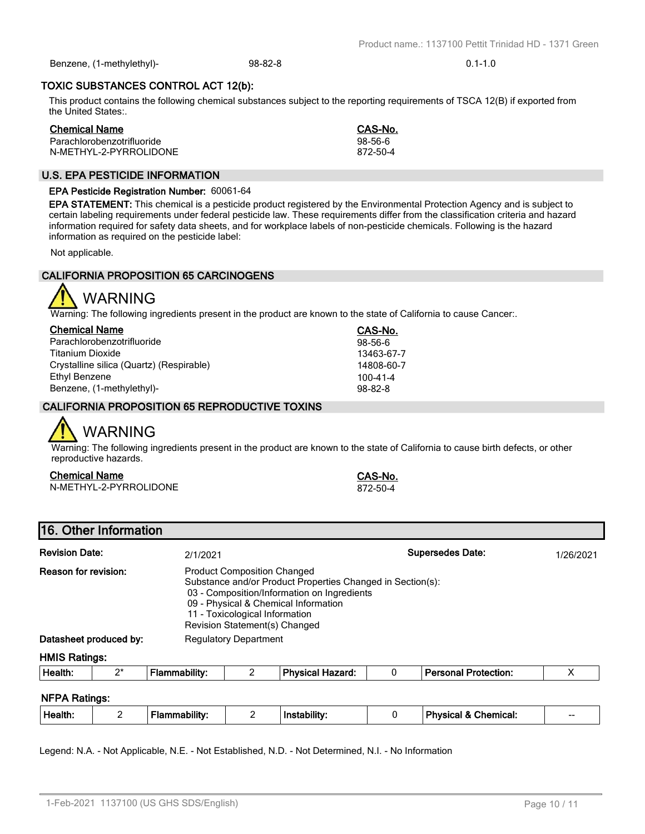1-Feb-2021 1137100 (US GHS SDS/English) Page 10 / 11

**TOXIC SUBSTANCES CONTROL ACT 12(b):**

This product contains the following chemical substances subject to the reporting requirements of TSCA 12(B) if exported from the United States:.

Benzene, (1-methylethyl)- 98-82-8 0.1-1.0

| <b>Chemical Name</b>       | CAS-No.  |
|----------------------------|----------|
| Parachlorobenzotrifluoride | 98-56-6  |
| N-METHYL-2-PYRROLIDONE     | 872-50-4 |

# **U.S. EPA PESTICIDE INFORMATION**

# **EPA Pesticide Registration Number:** 60061-64

**EPA STATEMENT:** This chemical is a pesticide product registered by the Environmental Protection Agency and is subject to certain labeling requirements under federal pesticide law. These requirements differ from the classification criteria and hazard information required for safety data sheets, and for workplace labels of non-pesticide chemicals. Following is the hazard information as required on the pesticide label:

Not applicable.

# **CALIFORNIA PROPOSITION 65 CARCINOGENS**



Warning: The following ingredients present in the product are known to the state of California to cause Cancer:.

| <b>Chemical Name</b>                     | CAS-No.        |
|------------------------------------------|----------------|
| Parachlorobenzotrifluoride               | $98-56-6$      |
| Titanium Dioxide                         | 13463-67-7     |
| Crystalline silica (Quartz) (Respirable) | 14808-60-7     |
| Ethyl Benzene                            | $100 - 41 - 4$ |
| Benzene, (1-methylethyl)-                | $98 - 82 - 8$  |

# **CALIFORNIA PROPOSITION 65 REPRODUCTIVE TOXINS**

# WARNING

Warning: The following ingredients present in the product are known to the state of California to cause birth defects, or other reproductive hazards.

# **Chemical Name CAS-No.**

N-METHYL-2-PYRROLIDONE 872-50-4

**16. Other Information**

| <b>Revision Date:</b>  | 2/1/2021                                                                                                                                                                                                                                                   | <b>Supersedes Date:</b> | 1/26/2021 |
|------------------------|------------------------------------------------------------------------------------------------------------------------------------------------------------------------------------------------------------------------------------------------------------|-------------------------|-----------|
| Reason for revision:   | <b>Product Composition Changed</b><br>Substance and/or Product Properties Changed in Section(s):<br>03 - Composition/Information on Ingredients<br>09 - Physical & Chemical Information<br>11 - Toxicological Information<br>Revision Statement(s) Changed |                         |           |
| Datasheet produced by: | <b>Regulatory Department</b>                                                                                                                                                                                                                               |                         |           |
| <b>HMIS Ratings:</b>   |                                                                                                                                                                                                                                                            |                         |           |

| Health. | $\mathbf{a}$<br>- | .<br>. | - | Dhuo<br>ozard: | ection<br>.<br>rore.<br>. |  |
|---------|-------------------|--------|---|----------------|---------------------------|--|
|         |                   |        |   |                |                           |  |

# **NFPA Ratings:**

| .<br><br>Health.<br>--<br>Chemical.<br>$- -$<br>- |
|---------------------------------------------------|
|---------------------------------------------------|

Legend: N.A. - Not Applicable, N.E. - Not Established, N.D. - Not Determined, N.I. - No Information